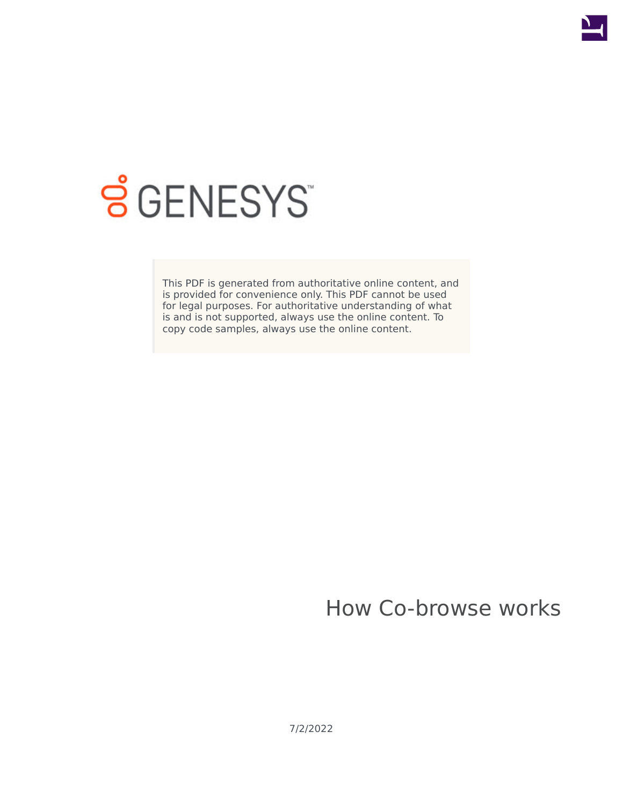

# **SGENESYS**

This PDF is generated from authoritative online content, and is provided for convenience only. This PDF cannot be used for legal purposes. For authoritative understanding of what is and is not supported, always use the online content. To copy code samples, always use the online content.

# How Co-browse works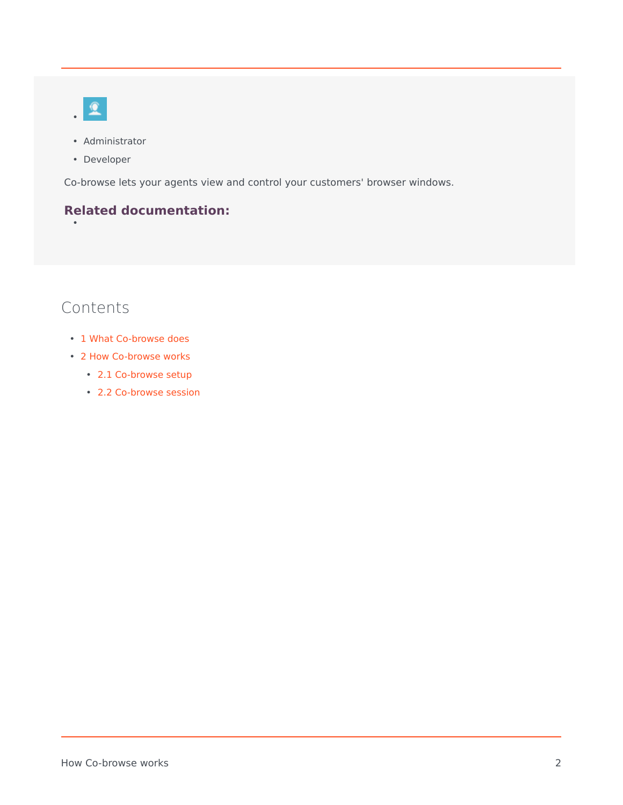

- Administrator
- Developer

Co-browse lets your agents view and control your customers' browser windows.

## **Related documentation:**

# Contents

•

- 1 [What Co-browse does](#page-2-0)
- 2 [How Co-browse works](#page-2-1)
	- 2.1 [Co-browse setup](#page-3-0)
	- 2.2 [Co-browse session](#page-4-0)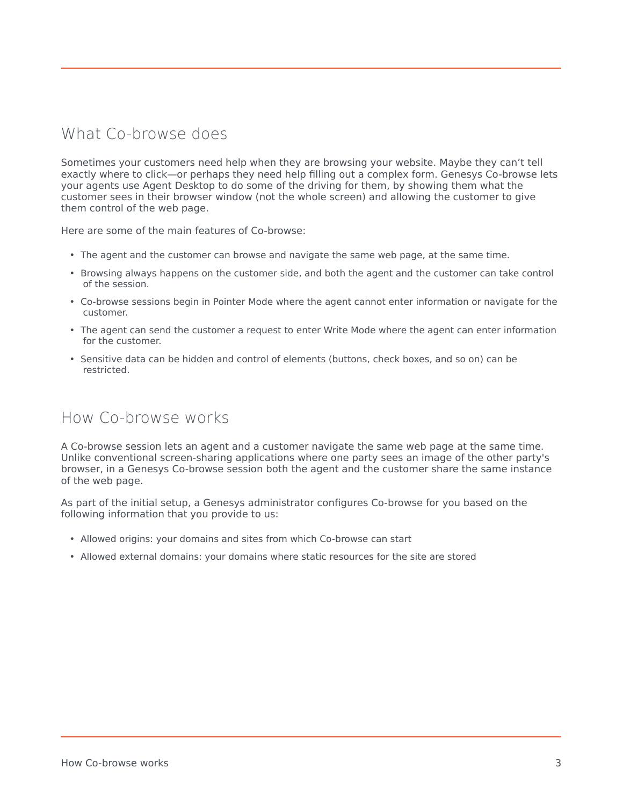# <span id="page-2-0"></span>What Co-browse does

Sometimes your customers need help when they are browsing your website. Maybe they can't tell exactly where to click—or perhaps they need help filling out a complex form. Genesys Co-browse lets your agents use Agent Desktop to do some of the driving for them, by showing them what the customer sees in their browser window (not the whole screen) and allowing the customer to give them control of the web page.

Here are some of the main features of Co-browse:

- The agent and the customer can browse and navigate the same web page, at the same time.
- Browsing always happens on the customer side, and both the agent and the customer can take control of the session.
- Co-browse sessions begin in Pointer Mode where the agent cannot enter information or navigate for the customer.
- The agent can send the customer a request to enter Write Mode where the agent can enter information for the customer.
- Sensitive data can be hidden and control of elements (buttons, check boxes, and so on) can be restricted.

### <span id="page-2-1"></span>How Co-browse works

A Co-browse session lets an agent and a customer navigate the same web page at the same time. Unlike conventional screen-sharing applications where one party sees an image of the other party's browser, in a Genesys Co-browse session both the agent and the customer share the same instance of the web page.

As part of the initial setup, a Genesys administrator configures Co-browse for you based on the following information that you provide to us:

- Allowed origins: your domains and sites from which Co-browse can start
- Allowed external domains: your domains where static resources for the site are stored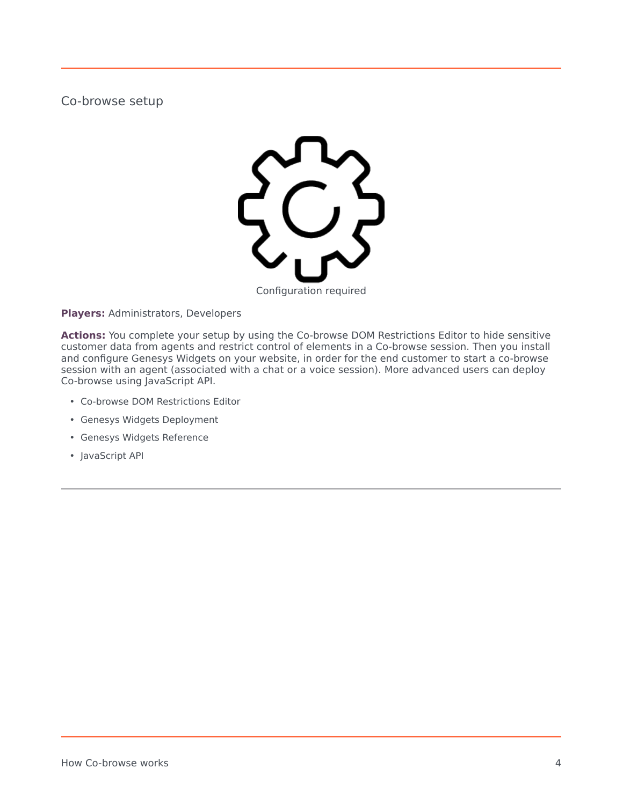<span id="page-3-0"></span>Co-browse setup



**Players:** Administrators, Developers

**Actions:** You complete your setup by using the Co-browse DOM Restrictions Editor to hide sensitive customer data from agents and restrict control of elements in a Co-browse session. Then you install and configure Genesys Widgets on your website, in order for the end customer to start a co-browse session with an agent (associated with a chat or a voice session). More advanced users can deploy Co-browse using JavaScript API.

- Co-browse DOM Restrictions Editor
- Genesys Widgets Deployment
- Genesys Widgets Reference
- JavaScript API